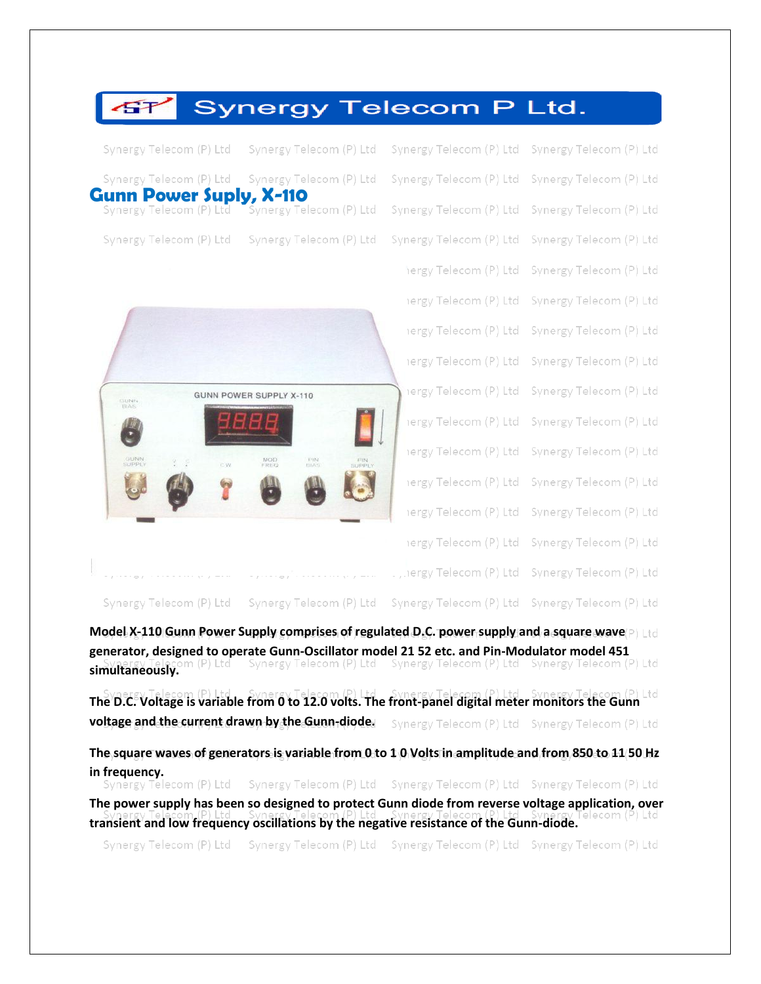| GT                                                        | <b>Synergy Telecom P Ltd.</b>                             |                         |                         |
|-----------------------------------------------------------|-----------------------------------------------------------|-------------------------|-------------------------|
| Synergy Telecom (P) Ltd                                   | Synergy Telecom (P) Ltd                                   | Synergy Telecom (P) Ltd | Synergy Telecom (P) Ltd |
| Synergy Telecom (P) Ltd                                   | Synergy Telecom (P) Ltd                                   | Synergy Telecom (P) Ltd | Synergy Telecom (P) Ltd |
| <b>Gunn Power Suply, X-110</b><br>Synergy Telecom (P) Ltd | Synergy Telecom (P) Ltd                                   | Synergy Telecom (P) Ltd | Synergy Telecom (P) Ltd |
| Synergy Telecom (P) Ltd                                   | Synergy Telecom (P) Ltd                                   | Synergy Telecom (P) Ltd | Synergy Telecom (P) Ltd |
|                                                           |                                                           | hergy Telecom (P) Ltd   | Synergy Telecom (P) Ltd |
|                                                           |                                                           | iergy Telecom (P) Ltd   | Synergy Telecom (P) Ltd |
|                                                           |                                                           | iergy Telecom (P) Ltd   | Synergy Telecom (P) Ltd |
|                                                           |                                                           | iergy Telecom (P) Ltd   | Synergy Telecom (P) Ltd |
| <b>GUNN</b>                                               | GUNN POWER SUPPLY X-110                                   | iergy Telecom (P) Ltd   | Synergy Telecom (P) Ltd |
|                                                           |                                                           | iergy Telecom (P) Ltd   | Synergy Telecom (P) Ltd |
| GUNN<br>CW.                                               | MOD<br><b>FIN</b><br>BIAS<br><b>FIN</b><br>SUPPLY         | iergy Telecom (P) Ltd   | Synergy Telecom (P) Ltd |
|                                                           |                                                           | iergy Telecom (P) Ltd   | Synergy Telecom (P) Ltd |
|                                                           |                                                           | iergy Telecom (P) Ltd   | Synergy Telecom (P) Ltd |
|                                                           |                                                           | iergy Telecom (P) Ltd   | Synergy Telecom (P) Ltd |
| $\eta = -\pi$ .                                           | $\mathcal{S}$<br>$\tau = -r$<br>$\mathcal{C}=\mathcal{C}$ | , rergy Telecom (P) Ltd | Synergy Telecom (P) Ltd |
| Synergy Telecom (P) Ltd                                   | Synergy Telecom (P) Ltd                                   | Synergy Telecom (P) Ltd | Synergy Telecom (P) Ltd |

**Model X-110 Gunn Power Supply comprises of regulated D.C. power supply and a square wave** P Ltd **generator, designed to operate Gunn-Oscillator model 21 52 etc. and Pin-Modulator model 451 synergy Telecom** (P) Ltd Synergy Telecom (P) Ltd Synergy Telecom (P) Ltd Synergy Telecom (P) Ltd Synergy Telecom (P) Ltd Synergy Telecom (P) Ltd Synergy Telecom (P) Ltd Synergy Telecom (P) Ltd Synergy Telecom (P) Ltd Syne

**The D.C. Voltage is variable from 0 to 12.0 volts. The front-panel digital meter monitors the Gunn and The D.C. Voltage is variable from 0 to 12.0 volts. The front-panel digital meter monitors the Gunn voltage and the current drawn by the Gunn-diode.** Synergy Telecom (P) Ltd Synergy Telecom (P) Ltd

**The square waves of generators is variable from 0 to 1 0 Volts in amplitude and from 850 to 11 50 Hz in frequency.**<br>Synergy Telecom (P) Ltd Synergy Telecom (P) Ltd Synergy Telecom (P) Ltd Synergy Telecom (P) Ltd

**The power supply has been so designed to protect Gunn diode from reverse voltage application, over**  ecom (P) Ltd **transient and low frequency oscillations by the negative resistance of the Gunn-diode.**

Synergy Telecom (P) Ltd Synergy Telecom (P) Ltd Synergy Telecom (P) Ltd Synergy Telecom (P) Ltd